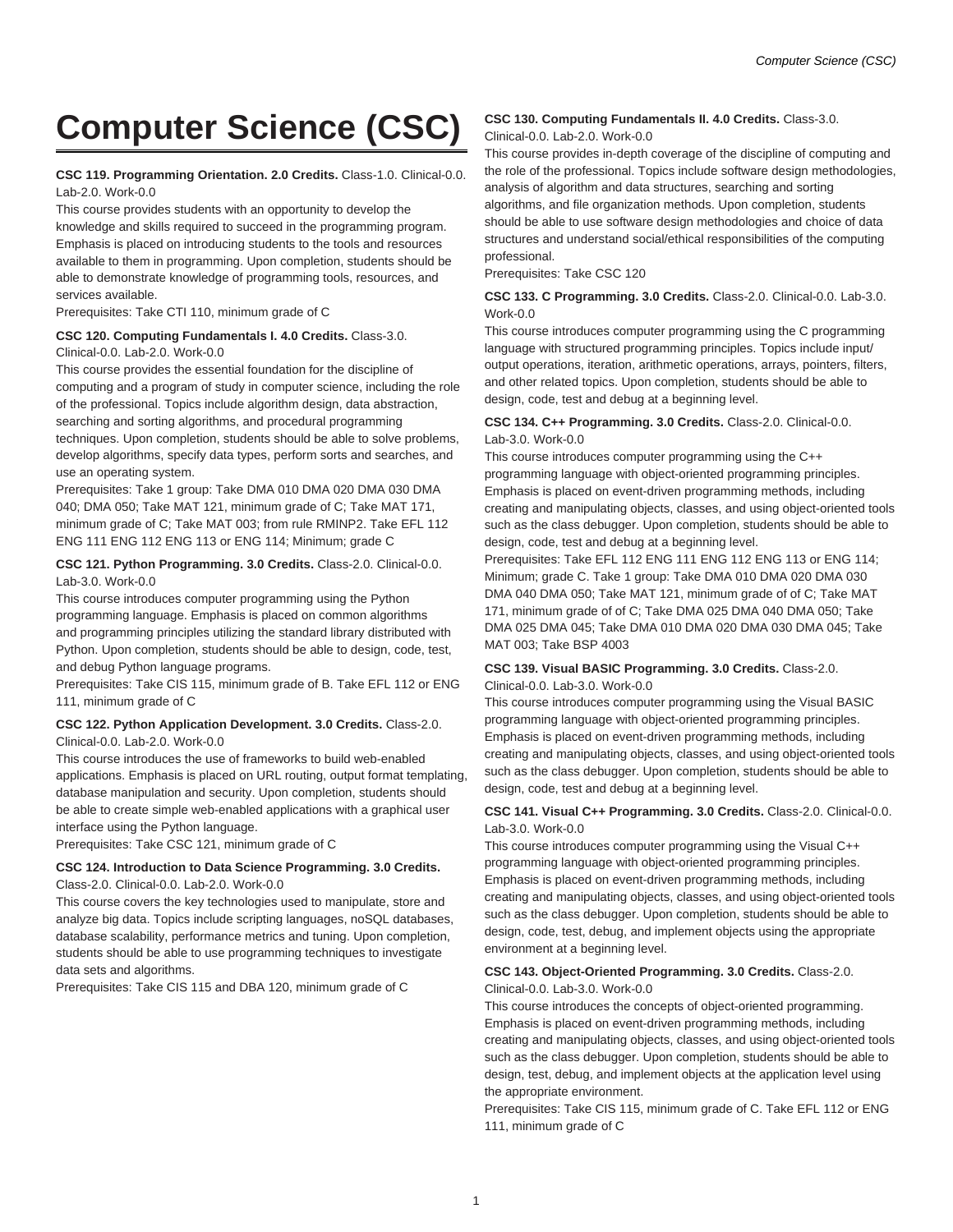# **Computer Science (CSC)**

#### **CSC 119. Programming Orientation. 2.0 Credits.** Class-1.0. Clinical-0.0. Lab-2.0. Work-0.0

This course provides students with an opportunity to develop the knowledge and skills required to succeed in the programming program. Emphasis is placed on introducing students to the tools and resources available to them in programming. Upon completion, students should be able to demonstrate knowledge of programming tools, resources, and services available.

Prerequisites: Take CTI 110, minimum grade of C

# **CSC 120. Computing Fundamentals I. 4.0 Credits.** Class-3.0.

Clinical-0.0. Lab-2.0. Work-0.0

This course provides the essential foundation for the discipline of computing and a program of study in computer science, including the role of the professional. Topics include algorithm design, data abstraction, searching and sorting algorithms, and procedural programming techniques. Upon completion, students should be able to solve problems, develop algorithms, specify data types, perform sorts and searches, and use an operating system.

Prerequisites: Take 1 group: Take DMA 010 DMA 020 DMA 030 DMA 040; DMA 050; Take MAT 121, minimum grade of C; Take MAT 171, minimum grade of C; Take MAT 003; from rule RMINP2. Take EFL 112 ENG 111 ENG 112 ENG 113 or ENG 114; Minimum; grade C

#### **CSC 121. Python Programming. 3.0 Credits.** Class-2.0. Clinical-0.0. Lab-3.0. Work-0.0

This course introduces computer programming using the Python programming language. Emphasis is placed on common algorithms and programming principles utilizing the standard library distributed with Python. Upon completion, students should be able to design, code, test, and debug Python language programs.

Prerequisites: Take CIS 115, minimum grade of B. Take EFL 112 or ENG 111, minimum grade of C

#### **CSC 122. Python Application Development. 3.0 Credits.** Class-2.0. Clinical-0.0. Lab-2.0. Work-0.0

This course introduces the use of frameworks to build web-enabled applications. Emphasis is placed on URL routing, output format templating, database manipulation and security. Upon completion, students should be able to create simple web-enabled applications with a graphical user interface using the Python language.

Prerequisites: Take CSC 121, minimum grade of C

#### **CSC 124. Introduction to Data Science Programming. 3.0 Credits.** Class-2.0. Clinical-0.0. Lab-2.0. Work-0.0

This course covers the key technologies used to manipulate, store and analyze big data. Topics include scripting languages, noSQL databases, database scalability, performance metrics and tuning. Upon completion, students should be able to use programming techniques to investigate

data sets and algorithms.

Prerequisites: Take CIS 115 and DBA 120, minimum grade of C

# **CSC 130. Computing Fundamentals II. 4.0 Credits.** Class-3.0.

## Clinical-0.0. Lab-2.0. Work-0.0

This course provides in-depth coverage of the discipline of computing and the role of the professional. Topics include software design methodologies, analysis of algorithm and data structures, searching and sorting algorithms, and file organization methods. Upon completion, students should be able to use software design methodologies and choice of data structures and understand social/ethical responsibilities of the computing professional.

Prerequisites: Take CSC 120

#### **CSC 133. C Programming. 3.0 Credits.** Class-2.0. Clinical-0.0. Lab-3.0. Work-0.0

This course introduces computer programming using the C programming language with structured programming principles. Topics include input/ output operations, iteration, arithmetic operations, arrays, pointers, filters, and other related topics. Upon completion, students should be able to design, code, test and debug at a beginning level.

#### **CSC 134. C++ Programming. 3.0 Credits.** Class-2.0. Clinical-0.0. Lab-3.0. Work-0.0

This course introduces computer programming using the C++ programming language with object-oriented programming principles. Emphasis is placed on event-driven programming methods, including creating and manipulating objects, classes, and using object-oriented tools such as the class debugger. Upon completion, students should be able to design, code, test and debug at a beginning level.

Prerequisites: Take EFL 112 ENG 111 ENG 112 ENG 113 or ENG 114; Minimum; grade C. Take 1 group: Take DMA 010 DMA 020 DMA 030 DMA 040 DMA 050; Take MAT 121, minimum grade of of C; Take MAT 171, minimum grade of of C; Take DMA 025 DMA 040 DMA 050; Take DMA 025 DMA 045; Take DMA 010 DMA 020 DMA 030 DMA 045; Take MAT 003; Take BSP 4003

#### **CSC 139. Visual BASIC Programming. 3.0 Credits.** Class-2.0. Clinical-0.0. Lab-3.0. Work-0.0

This course introduces computer programming using the Visual BASIC programming language with object-oriented programming principles. Emphasis is placed on event-driven programming methods, including creating and manipulating objects, classes, and using object-oriented tools such as the class debugger. Upon completion, students should be able to design, code, test and debug at a beginning level.

## **CSC 141. Visual C++ Programming. 3.0 Credits.** Class-2.0. Clinical-0.0. Lab-3.0. Work-0.0

This course introduces computer programming using the Visual C++ programming language with object-oriented programming principles. Emphasis is placed on event-driven programming methods, including creating and manipulating objects, classes, and using object-oriented tools such as the class debugger. Upon completion, students should be able to design, code, test, debug, and implement objects using the appropriate environment at a beginning level.

#### **CSC 143. Object-Oriented Programming. 3.0 Credits.** Class-2.0. Clinical-0.0. Lab-3.0. Work-0.0

This course introduces the concepts of object-oriented programming. Emphasis is placed on event-driven programming methods, including creating and manipulating objects, classes, and using object-oriented tools such as the class debugger. Upon completion, students should be able to design, test, debug, and implement objects at the application level using the appropriate environment.

Prerequisites: Take CIS 115, minimum grade of C. Take EFL 112 or ENG 111, minimum grade of C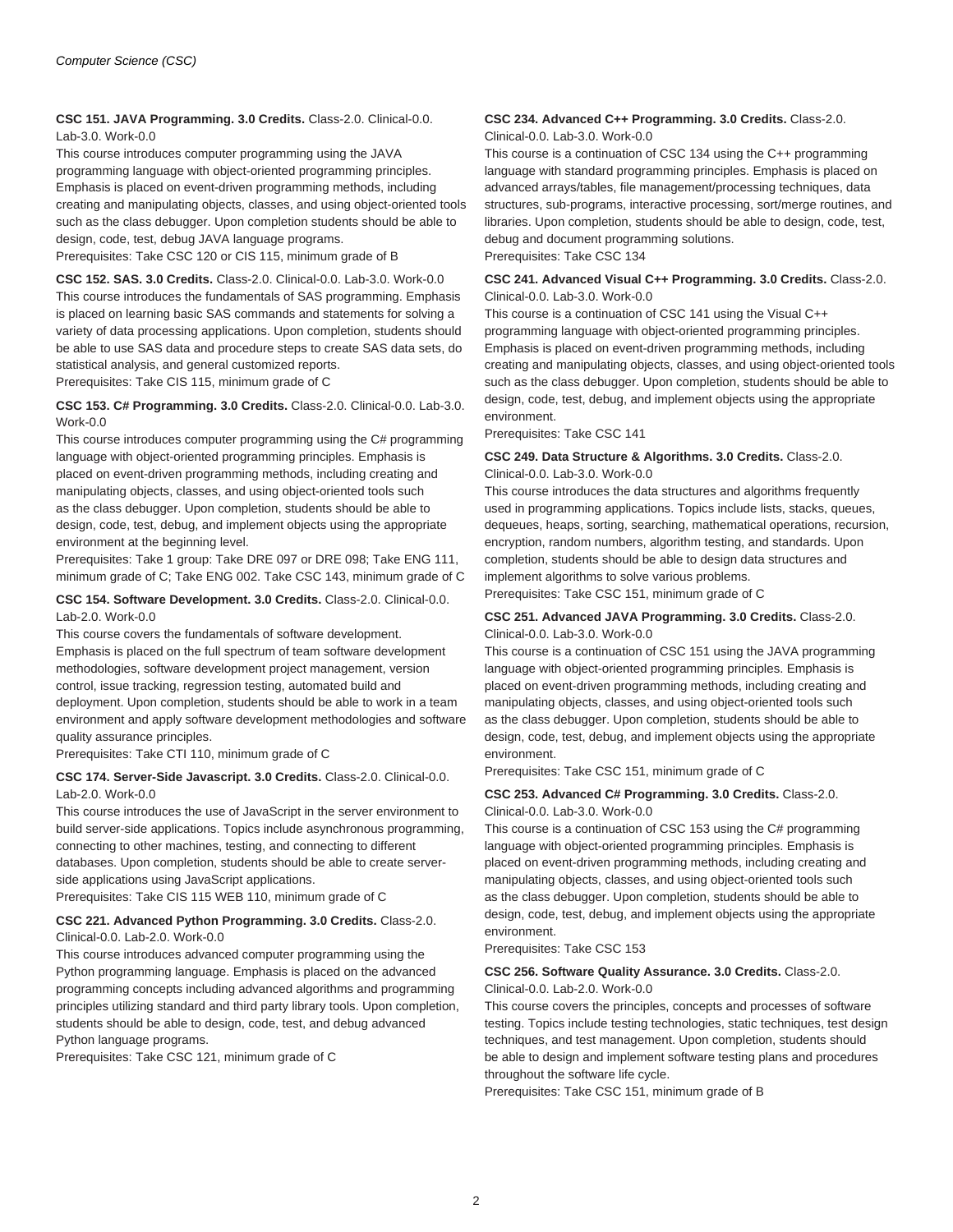**CSC 151. JAVA Programming. 3.0 Credits.** Class-2.0. Clinical-0.0. Lab-3.0. Work-0.0

This course introduces computer programming using the JAVA programming language with object-oriented programming principles. Emphasis is placed on event-driven programming methods, including creating and manipulating objects, classes, and using object-oriented tools such as the class debugger. Upon completion students should be able to design, code, test, debug JAVA language programs.

Prerequisites: Take CSC 120 or CIS 115, minimum grade of B

**CSC 152. SAS. 3.0 Credits.** Class-2.0. Clinical-0.0. Lab-3.0. Work-0.0 This course introduces the fundamentals of SAS programming. Emphasis is placed on learning basic SAS commands and statements for solving a variety of data processing applications. Upon completion, students should be able to use SAS data and procedure steps to create SAS data sets, do statistical analysis, and general customized reports.

Prerequisites: Take CIS 115, minimum grade of C

#### **CSC 153. C# Programming. 3.0 Credits.** Class-2.0. Clinical-0.0. Lab-3.0. Work-0.0

This course introduces computer programming using the C# programming language with object-oriented programming principles. Emphasis is placed on event-driven programming methods, including creating and manipulating objects, classes, and using object-oriented tools such as the class debugger. Upon completion, students should be able to design, code, test, debug, and implement objects using the appropriate environment at the beginning level.

Prerequisites: Take 1 group: Take DRE 097 or DRE 098; Take ENG 111, minimum grade of C; Take ENG 002. Take CSC 143, minimum grade of C

#### **CSC 154. Software Development. 3.0 Credits.** Class-2.0. Clinical-0.0. Lab-2.0. Work-0.0

This course covers the fundamentals of software development. Emphasis is placed on the full spectrum of team software development methodologies, software development project management, version control, issue tracking, regression testing, automated build and deployment. Upon completion, students should be able to work in a team environment and apply software development methodologies and software quality assurance principles.

Prerequisites: Take CTI 110, minimum grade of C

#### **CSC 174. Server-Side Javascript. 3.0 Credits.** Class-2.0. Clinical-0.0. Lab-2.0. Work-0.0

This course introduces the use of JavaScript in the server environment to build server-side applications. Topics include asynchronous programming, connecting to other machines, testing, and connecting to different databases. Upon completion, students should be able to create serverside applications using JavaScript applications.

Prerequisites: Take CIS 115 WEB 110, minimum grade of C

#### **CSC 221. Advanced Python Programming. 3.0 Credits.** Class-2.0. Clinical-0.0. Lab-2.0. Work-0.0

This course introduces advanced computer programming using the Python programming language. Emphasis is placed on the advanced programming concepts including advanced algorithms and programming principles utilizing standard and third party library tools. Upon completion, students should be able to design, code, test, and debug advanced Python language programs.

Prerequisites: Take CSC 121, minimum grade of C

#### **CSC 234. Advanced C++ Programming. 3.0 Credits.** Class-2.0. Clinical-0.0. Lab-3.0. Work-0.0

This course is a continuation of CSC 134 using the C++ programming language with standard programming principles. Emphasis is placed on advanced arrays/tables, file management/processing techniques, data structures, sub-programs, interactive processing, sort/merge routines, and libraries. Upon completion, students should be able to design, code, test, debug and document programming solutions. Prerequisites: Take CSC 134

#### **CSC 241. Advanced Visual C++ Programming. 3.0 Credits.** Class-2.0. Clinical-0.0. Lab-3.0. Work-0.0

This course is a continuation of CSC 141 using the Visual C++ programming language with object-oriented programming principles. Emphasis is placed on event-driven programming methods, including creating and manipulating objects, classes, and using object-oriented tools such as the class debugger. Upon completion, students should be able to design, code, test, debug, and implement objects using the appropriate environment.

Prerequisites: Take CSC 141

#### **CSC 249. Data Structure & Algorithms. 3.0 Credits.** Class-2.0. Clinical-0.0. Lab-3.0. Work-0.0

This course introduces the data structures and algorithms frequently used in programming applications. Topics include lists, stacks, queues, dequeues, heaps, sorting, searching, mathematical operations, recursion, encryption, random numbers, algorithm testing, and standards. Upon completion, students should be able to design data structures and implement algorithms to solve various problems.

Prerequisites: Take CSC 151, minimum grade of C

#### **CSC 251. Advanced JAVA Programming. 3.0 Credits.** Class-2.0. Clinical-0.0. Lab-3.0. Work-0.0

This course is a continuation of CSC 151 using the JAVA programming language with object-oriented programming principles. Emphasis is placed on event-driven programming methods, including creating and manipulating objects, classes, and using object-oriented tools such as the class debugger. Upon completion, students should be able to design, code, test, debug, and implement objects using the appropriate environment.

Prerequisites: Take CSC 151, minimum grade of C

#### **CSC 253. Advanced C# Programming. 3.0 Credits.** Class-2.0. Clinical-0.0. Lab-3.0. Work-0.0

This course is a continuation of CSC 153 using the C# programming language with object-oriented programming principles. Emphasis is placed on event-driven programming methods, including creating and manipulating objects, classes, and using object-oriented tools such as the class debugger. Upon completion, students should be able to design, code, test, debug, and implement objects using the appropriate environment.

Prerequisites: Take CSC 153

#### **CSC 256. Software Quality Assurance. 3.0 Credits.** Class-2.0. Clinical-0.0. Lab-2.0. Work-0.0

This course covers the principles, concepts and processes of software testing. Topics include testing technologies, static techniques, test design techniques, and test management. Upon completion, students should be able to design and implement software testing plans and procedures throughout the software life cycle.

Prerequisites: Take CSC 151, minimum grade of B